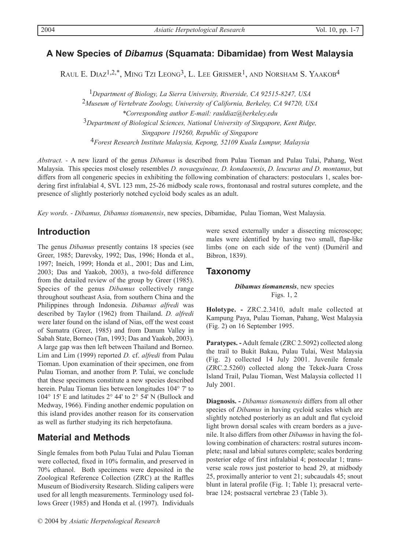# **A New Species of** *Dibamus* **(Squamata: Dibamidae) from West Malaysia**

RAUL E. DIAZ<sup>1,2,\*</sup>, MING TZI LEONG<sup>3</sup>, L. LEE GRISMER<sup>1</sup>, AND NORSHAM S. YAAKOB<sup>4</sup>

*Department of Biology, La Sierra University, Riverside, CA 92515-8247, USA Museum of Vertebrate Zoology, University of California, Berkeley, CA 94720, USA \*Corresponding author E-mail: rauldiaz@berkeley.edu Department of Biological Sciences, National University of Singapore, Kent Ridge, Singapore 119260, Republic of Singapore Forest Research Institute Malaysia, Kepong, 52109 Kuala Lumpur, Malaysia* 

*Abstract. -* A new lizard of the genus *Dibamus* is described from Pulau Tioman and Pulau Tulai, Pahang, West Malaysia. This species most closely resembles *D. novaeguineae, D. kondaoensis*, *D. leucurus and D. montanus*, but differs from all congeneric species in exhibiting the following combination of characters: postoculars 1, scales bordering first infralabial 4, SVL 123 mm, 25-26 midbody scale rows, frontonasal and rostral sutures complete, and the presence of slightly posteriorly notched cycloid body scales as an adult.

*Key words. - Dibamus, Dibamus tiomanensis*, new species, Dibamidae, Pulau Tioman, West Malaysia.

# **Introduction**

The genus *Dibamus* presently contains 18 species (see Greer, 1985; Darevsky, 1992; Das, 1996; Honda et al., 1997; Ineich, 1999; Honda et al., 2001; Das and Lim, 2003; Das and Yaakob, 2003), a two-fold difference from the detailed review of the group by Greer (1985). Species of the genus *Dibamus* collectively range throughout southeast Asia, from southern China and the Philippines through Indonesia. *Dibamus alfredi* was described by Taylor (1962) from Thailand. *D. alfredi* were later found on the island of Nias, off the west coast of Sumatra (Greer, 1985) and from Danum Valley in Sabah State, Borneo (Tan, 1993; Das and Yaakob, 2003). A large gap was then left between Thailand and Borneo. Lim and Lim (1999) reported *D.* cf. *alfredi* from Pulau Tioman. Upon examination of their specimen, one from Pulau Tioman, and another from P. Tulai, we conclude that these specimens constitute a new species described herein. Pulau Tioman lies between longitudes 104° 7' to 104° 15' E and latitudes 2° 44' to 2° 54' N (Bullock and Medway, 1966). Finding another endemic population on this island provides another reason for its conservation as well as further studying its rich herpetofauna.

# **Material and Methods**

Single females from both Pulau Tulai and Pulau Tioman were collected, fixed in 10% formalin, and preserved in 70% ethanol. Both specimens were deposited in the Zoological Reference Collection (ZRC) at the Raffles Museum of Biodiversity Research. Sliding calipers were used for all length measurements. Terminology used follows Greer (1985) and Honda et al. (1997). Individuals

were sexed externally under a dissecting microscope; males were identified by having two small, flap-like limbs (one on each side of the vent) (Duméril and Bibron, 1839).

## **Taxonomy**

#### *Dibamus tiomanensis*, new species Figs. 1, 2

**Holotype. -** ZRC.2.3410, adult male collected at Kampung Paya, Pulau Tioman, Pahang, West Malaysia (Fig. 2) on 16 September 1995.

**Paratypes. -** Adult female (ZRC 2.5092) collected along the trail to Bukit Bakau, Pulau Tulai, West Malaysia (Fig. 2) collected 14 July 2001. Juvenile female (ZRC.2.5260) collected along the Tekek-Juara Cross Island Trail, Pulau Tioman, West Malaysia collected 11 July 2001.

**Diagnosis. -** *Dibamus tiomanensis* differs from all other species of *Dibamus* in having cycloid scales which are slightly notched posteriorly as an adult and flat cycloid light brown dorsal scales with cream borders as a juvenile. It also differs from other *Dibamus* in having the following combination of characters: rostral sutures incomplete; nasal and labial sutures complete; scales bordering posterior edge of first infralabial 4; postocular 1; transverse scale rows just posterior to head 29, at midbody 25, proximally anterior to vent 21; subcaudals 45; snout blunt in lateral profile (Fig. 1; Table 1); presacral vertebrae 124; postsacral vertebrae 23 (Table 3).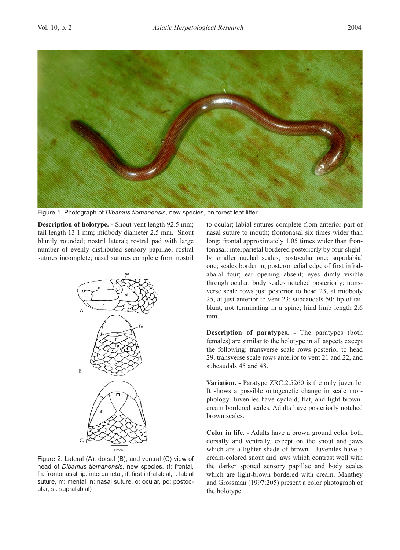

Figure 1. Photograph of *Dibamus tiomanensis*, new species, on forest leaf litter.

**Description of holotype. -** Snout-vent length 92.5 mm; tail length 13.1 mm; midbody diameter 2.5 mm. Snout bluntly rounded; nostril lateral; rostral pad with large number of evenly distributed sensory papillae; rostral sutures incomplete; nasal sutures complete from nostril



Figure 2. Lateral (A), dorsal (B), and ventral (C) view of head of *Dibamus tiomanensis*, new species. (f: frontal, fn: frontonasal, ip: interparietal, if: first infralabial, l: labial suture, m: mental, n: nasal suture, o: ocular, po: postocular, sl: supralabial)

to ocular; labial sutures complete from anterior part of nasal suture to mouth; frontonasal six times wider than long; frontal approximately 1.05 times wider than frontonasal; interparietal bordered posteriorly by four slightly smaller nuchal scales; postocular one; supralabial one; scales bordering posteromedial edge of first infralabaial four; ear opening absent; eyes dimly visible through ocular; body scales notched posteriorly; transverse scale rows just posterior to head 23, at midbody 25, at just anterior to vent 23; subcaudals 50; tip of tail blunt, not terminating in a spine; hind limb length 2.6 mm.

**Description of paratypes. -** The paratypes (both females) are similar to the holotype in all aspects except the following: transverse scale rows posterior to head 29, transverse scale rows anterior to vent 21 and 22, and subcaudals 45 and 48.

**Variation. -** Paratype ZRC.2.5260 is the only juvenile. It shows a possible ontogenetic change in scale morphology. Juveniles have cycloid, flat, and light browncream bordered scales. Adults have posteriorly notched brown scales.

**Color in life. -** Adults have a brown ground color both dorsally and ventrally, except on the snout and jaws which are a lighter shade of brown. Juveniles have a cream-colored snout and jaws which contrast well with the darker spotted sensory papillae and body scales which are light-brown bordered with cream. Manthey and Grossman (1997:205) present a color photograph of the holotype.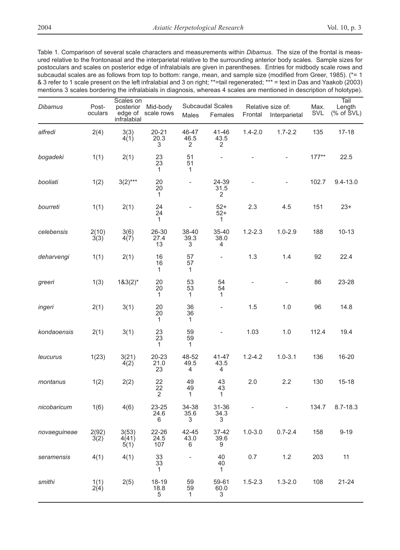Table 1. Comparison of several scale characters and measurements within *Dibamus*. The size of the frontal is measured relative to the frontonasal and the interparietal relative to the surrounding anterior body scales. Sample sizes for postoculars and scales on posterior edge of infralabials are given in parentheses. Entries for midbody scale rows and subcaudal scales are as follows from top to bottom: range, mean, and sample size (modified from Greer, 1985). (\*= 1 & 3 refer to 1 scale present on the left infralabial and 3 on right; \*\*=tail regenerated; \*\*\* = text in Das and Yaakob (2003) mentions 3 scales bordering the infralabials in diagnosis, whereas 4 scales are mentioned in description of holotype).

| <b>Dibamus</b> | Post-<br>oculars | Scales on<br>posterior<br>edge of<br>infralabial | Mid-body<br>scale rows   | Males              | Subcaudal Scales<br>Females | Frontal     | Relative size of:<br>Interparietal | Max.<br>SVL | Tail<br>Length<br>$(% )^{2}(x, 0)$ of $SVL)$ |
|----------------|------------------|--------------------------------------------------|--------------------------|--------------------|-----------------------------|-------------|------------------------------------|-------------|----------------------------------------------|
| alfredi        | 2(4)             | 3(3)<br>4(1)                                     | $20 - 21$<br>20.3<br>3   | 46-47<br>46.5<br>2 | 41-46<br>43.5<br>2          | $1.4 - 2.0$ | $1.7 - 2.2$                        | 135         | $17 - 18$                                    |
| bogadeki       | 1(1)             | 2(1)                                             | 23<br>23<br>$\mathbf{1}$ | 51<br>51<br>1      |                             |             |                                    | $177**$     | 22.5                                         |
| booliati       | 1(2)             | $3(2)***$                                        | 20<br>20<br>1            | $\overline{a}$     | 24-39<br>31.5<br>2          |             |                                    | 102.7       | $9.4 - 13.0$                                 |
| bourreti       | 1(1)             | 2(1)                                             | 24<br>24<br>1            |                    | $52+$<br>$52+$<br>1         | 2.3         | 4.5                                | 151         | $23+$                                        |
| celebensis     | 2(10)<br>3(3)    | 3(6)<br>4(7)                                     | 26-30<br>27.4<br>13      | 38-40<br>39.3<br>3 | 35-40<br>38.0<br>4          | $1.2 - 2.3$ | $1.0 - 2.9$                        | 188         | $10 - 13$                                    |
| deharvengi     | 1(1)             | 2(1)                                             | 16<br>16<br>1            | 57<br>57<br>1      | $\overline{\phantom{a}}$    | 1.3         | 1.4                                | 92          | 22.4                                         |
| greeri         | 1(3)             | $183(2)^{*}$                                     | 20<br>20<br>1            | 53<br>53<br>1      | 54<br>54<br>1               |             |                                    | 86          | 23-28                                        |
| ingeri         | 2(1)             | 3(1)                                             | 20<br>20<br>1            | 36<br>36<br>1      | $\overline{\phantom{a}}$    | 1.5         | 1.0                                | 96          | 14.8                                         |
| kondaoensis    | 2(1)             | 3(1)                                             | 23<br>23<br>1            | 59<br>59<br>1      |                             | 1.03        | 1.0                                | 112.4       | 19.4                                         |
| leucurus       | 1(23)            | 3(21)<br>4(2)                                    | 20-23<br>21.0<br>23      | 48-52<br>49.5<br>4 | 41-47<br>43.5<br>4          | $1.2 - 4.2$ | $1.0 - 3.1$                        | 136         | 16-20                                        |
| montanus       | 1(2)             | 2(2)                                             | 22<br>22<br>2            | 49<br>49<br>1      | 43<br>43<br>1               | 2.0         | 2.2                                | 130         | $15 - 18$                                    |
| nicobaricum    | 1(6)             | 4(6)                                             | 23-25<br>24.6<br>6       | 34-38<br>35.6<br>3 | 31-36<br>34.3<br>3          |             |                                    | 134.7       | $8.7 - 18.3$                                 |
| novaeguineae   | 2(92)<br>3(2)    | 3(53)<br>4(41)<br>5(1)                           | 22-26<br>24.5<br>107     | 42-45<br>43.0<br>6 | 37-42<br>39.6<br>9          | $1.0 - 3.0$ | $0.7 - 2.4$                        | 158         | $9 - 19$                                     |
| seramensis     | 4(1)             | 4(1)                                             | 33<br>33<br>$\mathbf{1}$ |                    | 40<br>40<br>$\mathbf{1}$    | 0.7         | 1.2                                | 203         | 11                                           |
| smithi         | 1(1)<br>2(4)     | 2(5)                                             | 18-19<br>18.8<br>5       | 59<br>59<br>1      | 59-61<br>60.0<br>3          | $1.5 - 2.3$ | $1.3 - 2.0$                        | 108         | $21 - 24$                                    |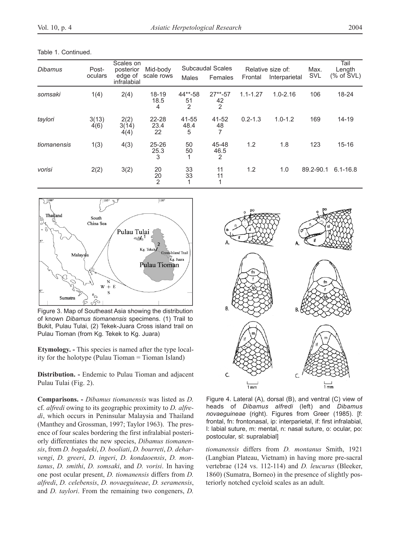Table 1. Continued.

| Dibamus     | Post-<br>oculars | Scales on<br>posterior<br>edge of<br>infralabial | Mid-body<br>scale rows     | Males                           | <b>Subcaudal Scales</b><br>Females | Frontal      | Relative size of:<br>Interparietal | Max.<br>SVL | Tail<br>Length<br>(% of $\text{SVL}$ ) |
|-------------|------------------|--------------------------------------------------|----------------------------|---------------------------------|------------------------------------|--------------|------------------------------------|-------------|----------------------------------------|
| somsaki     | 1(4)             | 2(4)                                             | $18 - 19$<br>18.5<br>4     | 44**-58<br>51<br>$\overline{2}$ | $27**-57$<br>42<br>$\overline{2}$  | $1.1 - 1.27$ | $1.0 - 2.16$                       | 106         | 18-24                                  |
| taylori     | 3(13)<br>4(6)    | 2(2)<br>3(14)<br>4(4)                            | $22 - 28$<br>23.4<br>22    | 41-55<br>48.4<br>5              | 41-52<br>48<br>7                   | $0.2 - 1.3$  | $1.0 - 1.2$                        | 169         | $14 - 19$                              |
| tiomanensis | 1(3)             | 4(3)                                             | $25 - 26$<br>25.3<br>3     | 50<br>50                        | 45-48<br>46.5<br>2                 | 1.2          | 1.8                                | 123         | $15 - 16$                              |
| vorisi      | 2(2)             | 3(2)                                             | 20<br>20<br>$\overline{2}$ | 33<br>33                        | 11<br>11<br>и                      | 1.2          | 1.0                                | 89.2-90.1   | $6.1 - 16.8$                           |



Figure 3. Map of Southeast Asia showing the distribution of known *Dibamus tiomanensis* specimens. (1) Trail to Bukit, Pulau Tulai, (2) Tekek-Juara Cross island trail on Pulau Tioman (from Kg. Tekek to Kg. Juara)

**Etymology. -** This species is named after the type locality for the holotype (Pulau Tioman = Tioman Island)

**Distribution. -** Endemic to Pulau Tioman and adjacent Pulau Tulai (Fig. 2).

**Comparisons. -** *Dibamus tiomanensis* was listed as *D.* cf. *alfredi* owing to its geographic proximity to *D. alfredi*, which occurs in Peninsular Malaysia and Thailand (Manthey and Grossman, 1997; Taylor 1963). The presence of four scales bordering the first infralabial posteriorly differentiates the new species, *Dibamus tiomanensis*, from *D. bogadeki*, *D. booliati*, *D. bourreti*, *D. deharvengi*, *D. greeri*, *D. ingeri*, *D. kondaoensis*, *D. montanus*, *D. smithi*, *D. somsaki*, and *D. vorisi*. In having one post ocular present, *D. tiomanensis* differs from *D. alfredi*, *D. celebensis*, *D. novaeguineae*, *D. seramensis*, and *D. taylori*. From the remaining two congeners, *D.*



Figure 4. Lateral (A), dorsal (B), and ventral (C) view of heads of *Dibamus alfredi* (left) and *Dibamus novaeguineae* (right). Figures from Greer (1985). [f: frontal, fn: frontonasal, ip: interparietal, if: first infralabial, l: labial suture, m: mental, n: nasal suture, o: ocular, po: postocular, sl: supralabial]

*tiomanensis* differs from *D. montanus* Smith, 1921 (Langbian Plateau, Vietnam) in having more pre-sacral vertebrae (124 vs. 112-114) and *D. leucurus* (Bleeker, 1860) (Sumatra, Borneo) in the presence of slightly posteriorly notched cycloid scales as an adult.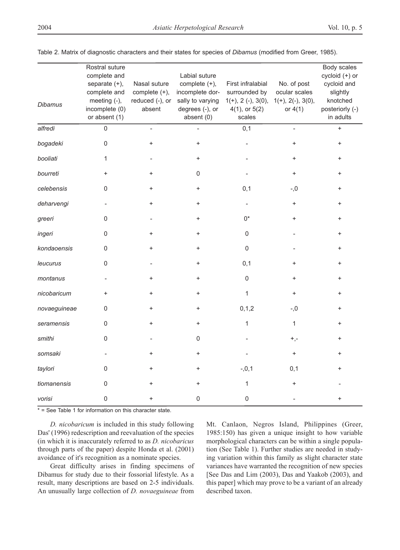| <b>Dibamus</b> | Rostral suture<br>complete and<br>separate $(+)$ ,<br>complete and<br>meeting (-),<br>incomplete (0)<br>or absent (1) | Nasal suture<br>complete (+),<br>reduced (-), or<br>absent | Labial suture<br>complete $(+)$ ,<br>incomplete dor-<br>sally to varying<br>degrees (-), or<br>absent $(0)$ | First infralabial<br>surrounded by<br>$1(+), 2(-), 3(0),$<br>$4(1)$ , or $5(2)$<br>scales | No. of post<br>ocular scales<br>$1(+), 2(-), 3(0),$<br>or $4(1)$ | Body scales<br>cycloid (+) or<br>cycloid and<br>slightly<br>knotched<br>posteriorly (-)<br>in adults |
|----------------|-----------------------------------------------------------------------------------------------------------------------|------------------------------------------------------------|-------------------------------------------------------------------------------------------------------------|-------------------------------------------------------------------------------------------|------------------------------------------------------------------|------------------------------------------------------------------------------------------------------|
| alfredi        | $\mathbf 0$                                                                                                           |                                                            |                                                                                                             | 0,1                                                                                       |                                                                  | $+$                                                                                                  |
| bogadeki       | 0                                                                                                                     | $\ddot{}$                                                  | $\ddot{}$                                                                                                   |                                                                                           | $\ddot{}$                                                        | $\ddot{}$                                                                                            |
| booliati       | 1                                                                                                                     |                                                            | $+$                                                                                                         |                                                                                           | $+$                                                              | $^{+}$                                                                                               |
| bourreti       | $\ddot{}$                                                                                                             | $\ddot{}$                                                  | 0                                                                                                           |                                                                                           | $+$                                                              | $\ddot{}$                                                                                            |
| celebensis     | 0                                                                                                                     | $\ddot{}$                                                  | $\ddot{}$                                                                                                   | 0,1                                                                                       | $-0, -$                                                          | $\ddot{}$                                                                                            |
| deharvengi     |                                                                                                                       | $\ddot{}$                                                  | $\ddot{}$                                                                                                   |                                                                                           | $+$                                                              | $\ddot{}$                                                                                            |
| greeri         | 0                                                                                                                     |                                                            | $+$                                                                                                         | 0*                                                                                        | $+$                                                              | +                                                                                                    |
| ingeri         | 0                                                                                                                     | $\ddot{}$                                                  | $\ddot{}$                                                                                                   | $\Omega$                                                                                  |                                                                  | $\overline{+}$                                                                                       |
| kondaoensis    | 0                                                                                                                     | $\ddot{}$                                                  | $\ddot{}$                                                                                                   | $\mathbf 0$                                                                               |                                                                  | $\ddot{}$                                                                                            |
| leucurus       | $\mathsf 0$                                                                                                           |                                                            | $\ddot{}$                                                                                                   | 0,1                                                                                       | $\ddot{}$                                                        |                                                                                                      |
| montanus       |                                                                                                                       | $\ddot{}$                                                  | $\ddot{}$                                                                                                   | $\mathbf 0$                                                                               | $\ddot{}$                                                        | +                                                                                                    |
| nicobaricum    | $\ddot{}$                                                                                                             | $\ddot{}$                                                  | $\ddot{}$                                                                                                   | $\mathbf{1}$                                                                              | $+$                                                              | $\overline{+}$                                                                                       |
| novaeguineae   | 0                                                                                                                     | $\ddot{}$                                                  | $\ddot{}$                                                                                                   | 0, 1, 2                                                                                   | $-0, -$                                                          | $\ddot{}$                                                                                            |
| seramensis     | 0                                                                                                                     | $\ddot{}$                                                  | $\ddot{}$                                                                                                   | $\mathbf{1}$                                                                              | $\mathbf{1}$                                                     | $\ddot{}$                                                                                            |
| smithi         | 0                                                                                                                     |                                                            | 0                                                                                                           |                                                                                           | $^{+,-}$                                                         |                                                                                                      |
| somsaki        |                                                                                                                       | $\ddot{}$                                                  | $\ddot{}$                                                                                                   |                                                                                           | $+$                                                              | +                                                                                                    |
| taylori        | 0                                                                                                                     | $\ddot{}$                                                  | $\ddot{}$                                                                                                   | $-0,1$                                                                                    | 0,1                                                              | $\ddot{}$                                                                                            |
| tiomanensis    | 0                                                                                                                     | +                                                          | $\ddot{}$                                                                                                   | $\mathbf{1}$                                                                              |                                                                  |                                                                                                      |
| vorisi         | 0                                                                                                                     | $\ddot{}$                                                  | 0                                                                                                           | 0                                                                                         |                                                                  | $\ddot{}$                                                                                            |

Table 2. Matrix of diagnostic characters and their states for species of *Dibamus* (modified from Greer, 1985).

\* = See Table 1 for information on this character state.

*D. nicobaricum* is included in this study following Das' (1996) redescription and reevaluation of the species (in which it is inaccurately referred to as *D. nicobaricus* through parts of the paper) despite Honda et al. (2001) avoidance of it's recognition as a nominate species.

Great difficulty arises in finding specimens of Dibamus for study due to their fossorial lifestyle. As a result, many descriptions are based on 2-5 individuals. An unusually large collection of *D. novaeguineae* from

Mt. Canlaon, Negros Island, Philippines (Greer, 1985:150) has given a unique insight to how variable morphological characters can be within a single population (See Table 1). Further studies are needed in studying variation within this family as slight character state variances have warranted the recognition of new species [See Das and Lim (2003), Das and Yaakob (2003), and this paper] which may prove to be a variant of an already described taxon.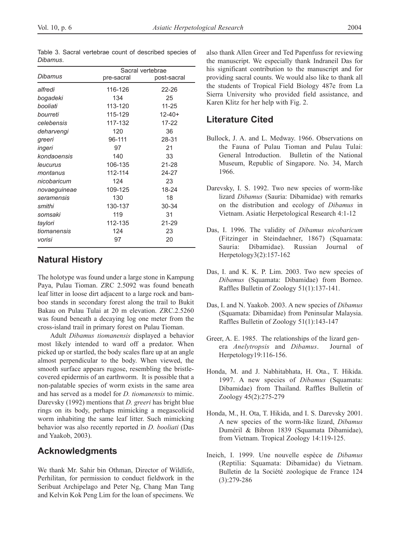|              | Sacral vertebrae |             |  |  |  |
|--------------|------------------|-------------|--|--|--|
| Dibamus      | pre-sacral       | post-sacral |  |  |  |
| alfredi      | 116-126          | 22-26       |  |  |  |
| bogadeki     | 134              | 25          |  |  |  |
| booliati     | 113-120          | $11 - 25$   |  |  |  |
| bourreti     | 115-129          | $12 - 40 +$ |  |  |  |
| celebensis   | 117-132          | 17-22       |  |  |  |
| deharvengi   | 120              | 36          |  |  |  |
| greeri       | 96-111           | 28-31       |  |  |  |
| ingeri       | 97               | 21          |  |  |  |
| kondaoensis  | 140              | 33          |  |  |  |
| leucurus     | 106-135          | 21-28       |  |  |  |
| montanus     | 112-114          | 24-27       |  |  |  |
| nicobaricum  | 124              | 23          |  |  |  |
| novaeguineae | 109-125          | 18-24       |  |  |  |
| seramensis   | 130              | 18          |  |  |  |
| smithi       | 130-137          | 30-34       |  |  |  |
| somsaki      | 119              | 31          |  |  |  |
| taylori      | 112-135          | 21-29       |  |  |  |
| tiomanensis  | 124              | 23          |  |  |  |
| vorisi       | 97               | 20          |  |  |  |

Table 3. Sacral vertebrae count of described species of *Dibamus*.

## **Natural History**

The holotype was found under a large stone in Kampung Paya, Pulau Tioman. ZRC 2.5092 was found beneath leaf litter in loose dirt adjacent to a large rock and bamboo stands in secondary forest along the trail to Bukit Bakau on Pulau Tulai at 20 m elevation. ZRC.2.5260 was found beneath a decaying log one meter from the cross-island trail in primary forest on Pulau Tioman.

Adult *Dibamus tiomanensis* displayed a behavior most likely intended to ward off a predator. When picked up or startled, the body scales flare up at an angle almost perpendicular to the body. When viewed, the smooth surface appears rugose, resembling the bristlecovered epidermis of an earthworm. It is possible that a non-palatable species of worm exists in the same area and has served as a model for *D. tiomanensis* to mimic. Darevsky (1992) mentions that *D. greeri* has bright blue rings on its body, perhaps mimicking a megascolicid worm inhabiting the same leaf litter. Such mimicking behavior was also recently reported in *D. booliati* (Das and Yaakob, 2003).

### **Acknowledgments**

We thank Mr. Sahir bin Othman, Director of Wildlife, Perhilitan, for permission to conduct fieldwork in the Seribuat Archipelago and Peter Ng, Chang Man Tang and Kelvin Kok Peng Lim for the loan of specimens. We

also thank Allen Greer and Ted Papenfuss for reviewing the manuscript. We especially thank Indraneil Das for his significant contribution to the manuscript and for providing sacral counts. We would also like to thank all the students of Tropical Field Biology 487e from La Sierra University who provided field assistance, and Karen Klitz for her help with Fig. 2.

### **Literature Cited**

- Bullock, J. A. and L. Medway. 1966. Observations on the Fauna of Pulau Tioman and Pulau Tulai: General Introduction. Bulletin of the National Museum, Republic of Singapore. No. 34, March 1966.
- Darevsky, I. S. 1992. Two new species of worm-like lizard *Dibamus* (Sauria: Dibamidae) with remarks on the distribution and ecology of *Dibamus* in Vietnam. Asiatic Herpetological Research 4:1-12
- Das, I. 1996. The validity of *Dibamus nicobaricum* (Fitzinger in Steindaehner, 1867) (Squamata: Sauria: Dibamidae). Russian Journal of Herpetology3(2):157-162
- Das, I. and K. K. P. Lim. 2003. Two new species of *Dibamus* (Squamata: Dibamidae) from Borneo. Raffles Bulletin of Zoology 51(1):137-141.
- Das, I. and N. Yaakob. 2003. A new species of *Dibamus* (Squamata: Dibamidae) from Peninsular Malaysia. Raffles Bulletin of Zoology 51(1):143-147
- Greer, A. E. 1985. The relationships of the lizard genera *Anelytropsis* and *Dibamus*. Journal of Herpetology19:116-156.
- Honda, M. and J. Nabhitabhata, H. Ota., T. Hikida. 1997. A new species of *Dibamus* (Squamata: Dibamidae) from Thailand. Raffles Bulletin of Zoology 45(2):275-279
- Honda, M., H. Ota, T. Hikida, and I. S. Darevsky 2001. A new species of the worm-like lizard, *Dibamus* Duméril & Bibron 1839 (Squamata Dibamidae), from Vietnam. Tropical Zoology 14:119-125.
- Ineich, I. 1999. Une nouvelle espèce de *Dibamus* (Reptilia: Squamata: Dibamidae) du Vietnam. Bulletin de la Société zoologique de France 124 (3):279-286